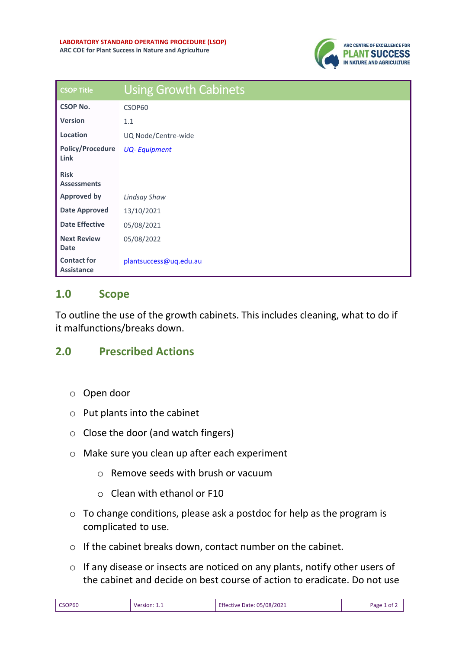

| <b>CSOP Title</b>                       | <b>Using Growth Cabinets</b> |  |  |  |
|-----------------------------------------|------------------------------|--|--|--|
| <b>CSOP No.</b>                         | CSOP60                       |  |  |  |
| <b>Version</b>                          | 1.1                          |  |  |  |
| Location                                | UQ Node/Centre-wide          |  |  |  |
| <b>Policy/Procedure</b><br>Link         | <b>UQ-Equipment</b>          |  |  |  |
| <b>Risk</b><br><b>Assessments</b>       |                              |  |  |  |
| <b>Approved by</b>                      | <b>Lindsay Shaw</b>          |  |  |  |
| <b>Date Approved</b>                    | 13/10/2021                   |  |  |  |
| <b>Date Effective</b>                   | 05/08/2021                   |  |  |  |
| <b>Next Review</b><br><b>Date</b>       | 05/08/2022                   |  |  |  |
| <b>Contact for</b><br><b>Assistance</b> | plantsuccess@ug.edu.au       |  |  |  |

## **1.0 Scope**

To outline the use of the growth cabinets. This includes cleaning, what to do if it malfunctions/breaks down.

## **2.0 Prescribed Actions**

- o Open door
- o Put plants into the cabinet
- o Close the door (and watch fingers)
- o Make sure you clean up after each experiment
	- o Remove seeds with brush or vacuum
	- o Clean with ethanol or F10
- o To change conditions, please ask a postdoc for help as the program is complicated to use.
- o If the cabinet breaks down, contact number on the cabinet.
- o If any disease or insects are noticed on any plants, notify other users of the cabinet and decide on best course of action to eradicate. Do not use